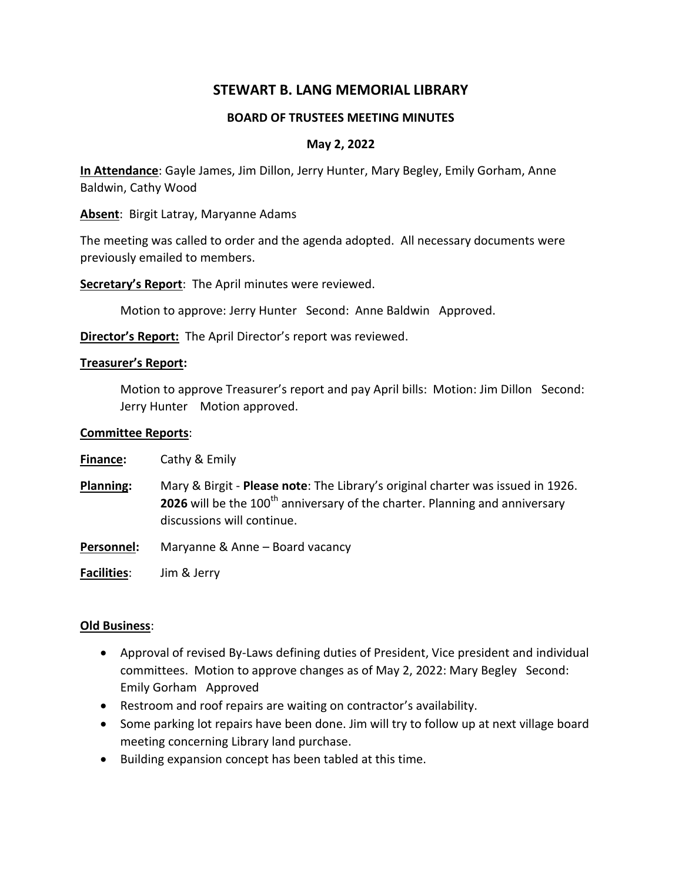# **STEWART B. LANG MEMORIAL LIBRARY**

#### **BOARD OF TRUSTEES MEETING MINUTES**

### **May 2, 2022**

**In Attendance**: Gayle James, Jim Dillon, Jerry Hunter, Mary Begley, Emily Gorham, Anne Baldwin, Cathy Wood

**Absent**: Birgit Latray, Maryanne Adams

The meeting was called to order and the agenda adopted. All necessary documents were previously emailed to members.

**Secretary's Report**: The April minutes were reviewed.

Motion to approve: Jerry Hunter Second: Anne Baldwin Approved.

**Director's Report:** The April Director's report was reviewed.

#### **Treasurer's Report:**

Motion to approve Treasurer's report and pay April bills: Motion: Jim Dillon Second: Jerry Hunter Motion approved.

#### **Committee Reports**:

| <b>Finance:</b> | Cathy & Emily |
|-----------------|---------------|
|-----------------|---------------|

- **Planning:** Mary & Birgit **Please note**: The Library's original charter was issued in 1926. **2026** will be the 100<sup>th</sup> anniversary of the charter. Planning and anniversary discussions will continue.
- **Personnel:** Maryanne & Anne Board vacancy

**Facilities**: Jim & Jerry

#### **Old Business**:

- Approval of revised By-Laws defining duties of President, Vice president and individual committees. Motion to approve changes as of May 2, 2022: Mary Begley Second: Emily Gorham Approved
- Restroom and roof repairs are waiting on contractor's availability.
- Some parking lot repairs have been done. Jim will try to follow up at next village board meeting concerning Library land purchase.
- Building expansion concept has been tabled at this time.